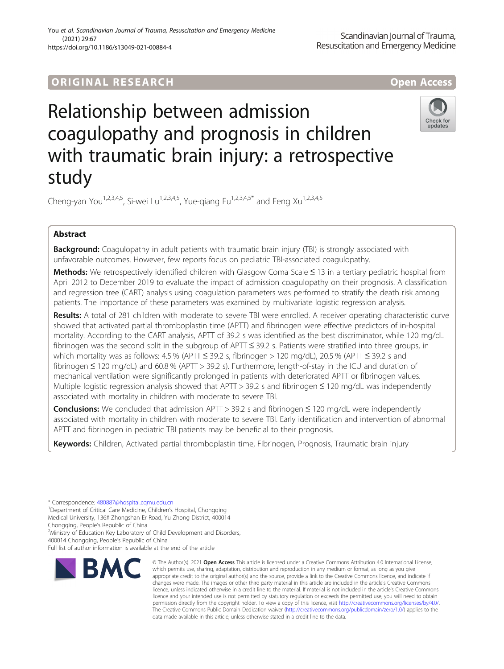# **ORIGINAL RESEARCH CORES EXECUTE OPEN ACCESS**

# Relationship between admission coagulopathy and prognosis in children with traumatic brain injury: a retrospective study



Cheng-yan You<sup>1,2,3,4,5</sup>, Si-wei Lu<sup>1,2,3,4,5</sup>, Yue-giang Fu<sup>1,2,3,4,5\*</sup> and Feng Xu<sup>1,2,3,4,5</sup>

# Abstract

**Background:** Coagulopathy in adult patients with traumatic brain injury (TBI) is strongly associated with unfavorable outcomes. However, few reports focus on pediatric TBI-associated coagulopathy.

Methods: We retrospectively identified children with Glasgow Coma Scale ≤ 13 in a tertiary pediatric hospital from April 2012 to December 2019 to evaluate the impact of admission coagulopathy on their prognosis. A classification and regression tree (CART) analysis using coagulation parameters was performed to stratify the death risk among patients. The importance of these parameters was examined by multivariate logistic regression analysis.

Results: A total of 281 children with moderate to severe TBI were enrolled. A receiver operating characteristic curve showed that activated partial thromboplastin time (APTT) and fibrinogen were effective predictors of in-hospital mortality. According to the CART analysis, APTT of 39.2 s was identified as the best discriminator, while 120 mg/dL fibrinogen was the second split in the subgroup of APTT ≤ 39.2 s. Patients were stratified into three groups, in which mortality was as follows: 4.5 % (APTT ≤ 39.2 s, fibrinogen > 120 mg/dL), 20.5 % (APTT ≤ 39.2 s and fibrinogen ≤ 120 mg/dL) and 60.8 % (APTT > 39.2 s). Furthermore, length-of-stay in the ICU and duration of mechanical ventilation were significantly prolonged in patients with deteriorated APTT or fibrinogen values. Multiple logistic regression analysis showed that APTT > 39.2 s and fibrinogen ≤ 120 mg/dL was independently associated with mortality in children with moderate to severe TBI.

**Conclusions:** We concluded that admission APTT > 39.2 s and fibrinogen  $\leq$  120 mg/dL were independently associated with mortality in children with moderate to severe TBI. Early identification and intervention of abnormal APTT and fibrinogen in pediatric TBI patients may be beneficial to their prognosis.

Keywords: Children, Activated partial thromboplastin time, Fibrinogen, Prognosis, Traumatic brain injury

\* Correspondence: [480887@hospital.cqmu.edu.cn](mailto:480887@hospital.cqmu.edu.cn) <sup>1</sup>

<sup>1</sup> Department of Critical Care Medicine, Children's Hospital, Chongqing Medical University, 136# Zhongshan Er Road, Yu Zhong District, 400014 Chongqing, People's Republic of China <sup>2</sup>

<sup>2</sup>Ministry of Education Key Laboratory of Child Development and Disorders, 400014 Chongqing, People's Republic of China

Full list of author information is available at the end of the article



<sup>©</sup> The Author(s), 2021 **Open Access** This article is licensed under a Creative Commons Attribution 4.0 International License, which permits use, sharing, adaptation, distribution and reproduction in any medium or format, as long as you give appropriate credit to the original author(s) and the source, provide a link to the Creative Commons licence, and indicate if changes were made. The images or other third party material in this article are included in the article's Creative Commons licence, unless indicated otherwise in a credit line to the material. If material is not included in the article's Creative Commons licence and your intended use is not permitted by statutory regulation or exceeds the permitted use, you will need to obtain permission directly from the copyright holder. To view a copy of this licence, visit [http://creativecommons.org/licenses/by/4.0/.](http://creativecommons.org/licenses/by/4.0/) The Creative Commons Public Domain Dedication waiver [\(http://creativecommons.org/publicdomain/zero/1.0/](http://creativecommons.org/publicdomain/zero/1.0/)) applies to the data made available in this article, unless otherwise stated in a credit line to the data.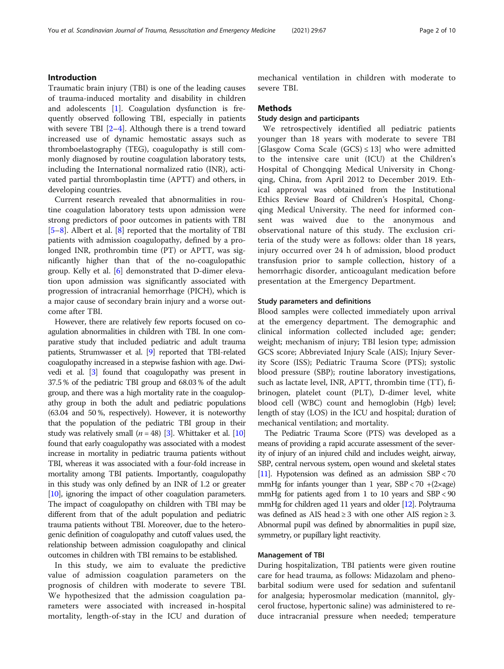### Introduction

Traumatic brain injury (TBI) is one of the leading causes of trauma-induced mortality and disability in children and adolescents  $[1]$  $[1]$ . Coagulation dysfunction is frequently observed following TBI, especially in patients with severe TBI  $[2-4]$  $[2-4]$  $[2-4]$  $[2-4]$  $[2-4]$ . Although there is a trend toward increased use of dynamic hemostatic assays such as thromboelastography (TEG), coagulopathy is still commonly diagnosed by routine coagulation laboratory tests, including the International normalized ratio (INR), activated partial thromboplastin time (APTT) and others, in developing countries.

Current research revealed that abnormalities in routine coagulation laboratory tests upon admission were strong predictors of poor outcomes in patients with TBI [[5](#page-9-0)–[8\]](#page-9-0). Albert et al. [\[8\]](#page-9-0) reported that the mortality of TBI patients with admission coagulopathy, defined by a prolonged INR, prothrombin time (PT) or APTT, was significantly higher than that of the no-coagulopathic group. Kelly et al. [\[6](#page-9-0)] demonstrated that D-dimer elevation upon admission was significantly associated with progression of intracranial hemorrhage (PICH), which is a major cause of secondary brain injury and a worse outcome after TBI.

However, there are relatively few reports focused on coagulation abnormalities in children with TBI. In one comparative study that included pediatric and adult trauma patients, Strumwasser et al. [[9\]](#page-9-0) reported that TBI-related coagulopathy increased in a stepwise fashion with age. Dwivedi et al. [\[3\]](#page-9-0) found that coagulopathy was present in 37.5 % of the pediatric TBI group and 68.03 % of the adult group, and there was a high mortality rate in the coagulopathy group in both the adult and pediatric populations (63.04 and 50 %, respectively). However, it is noteworthy that the population of the pediatric TBI group in their study was relatively small ( $n = 48$ ) [[3](#page-9-0)]. Whittaker et al. [\[10](#page-9-0)] found that early coagulopathy was associated with a modest increase in mortality in pediatric trauma patients without TBI, whereas it was associated with a four-fold increase in mortality among TBI patients. Importantly, coagulopathy in this study was only defined by an INR of 1.2 or greater [[10](#page-9-0)], ignoring the impact of other coagulation parameters. The impact of coagulopathy on children with TBI may be different from that of the adult population and pediatric trauma patients without TBI. Moreover, due to the heterogenic definition of coagulopathy and cutoff values used, the relationship between admission coagulopathy and clinical outcomes in children with TBI remains to be established.

In this study, we aim to evaluate the predictive value of admission coagulation parameters on the prognosis of children with moderate to severe TBI. We hypothesized that the admission coagulation parameters were associated with increased in-hospital mortality, length-of-stay in the ICU and duration of

mechanical ventilation in children with moderate to severe TBI.

#### Methods

# Study design and participants

We retrospectively identified all pediatric patients younger than 18 years with moderate to severe TBI [Glasgow Coma Scale (GCS)  $\leq$  13] who were admitted to the intensive care unit (ICU) at the Children's Hospital of Chongqing Medical University in Chongqing, China, from April 2012 to December 2019. Ethical approval was obtained from the Institutional Ethics Review Board of Children's Hospital, Chongqing Medical University. The need for informed consent was waived due to the anonymous and observational nature of this study. The exclusion criteria of the study were as follows: older than 18 years, injury occurred over 24 h of admission, blood product transfusion prior to sample collection, history of a hemorrhagic disorder, anticoagulant medication before presentation at the Emergency Department.

#### Study parameters and definitions

Blood samples were collected immediately upon arrival at the emergency department. The demographic and clinical information collected included age; gender; weight; mechanism of injury; TBI lesion type; admission GCS score; Abbreviated Injury Scale (AIS); Injury Severity Score (ISS); Pediatric Trauma Score (PTS); systolic blood pressure (SBP); routine laboratory investigations, such as lactate level, INR, APTT, thrombin time (TT), fibrinogen, platelet count (PLT), D-dimer level, white blood cell (WBC) count and hemoglobin (Hgb) level; length of stay (LOS) in the ICU and hospital; duration of mechanical ventilation; and mortality.

The Pediatric Trauma Score (PTS) was developed as a means of providing a rapid accurate assessment of the severity of injury of an injured child and includes weight, airway, SBP, central nervous system, open wound and skeletal states [[11\]](#page-9-0). Hypotension was defined as an admission SBP < 70 mmHg for infants younger than 1 year,  $SBP < 70 + (2 \times age)$ mmHg for patients aged from 1 to 10 years and SBP < 90 mmHg for children aged 11 years and older [\[12](#page-9-0)]. Polytrauma was defined as AIS head  $\geq$  3 with one other AIS region  $\geq$  3. Abnormal pupil was defined by abnormalities in pupil size, symmetry, or pupillary light reactivity.

#### Management of TBI

During hospitalization, TBI patients were given routine care for head trauma, as follows: Midazolam and phenobarbital sodium were used for sedation and sufentanil for analgesia; hyperosmolar medication (mannitol, glycerol fructose, hypertonic saline) was administered to reduce intracranial pressure when needed; temperature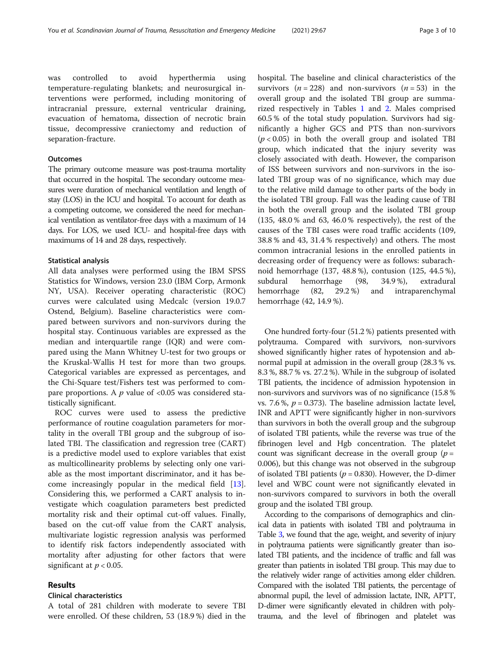was controlled to avoid hyperthermia using temperature-regulating blankets; and neurosurgical interventions were performed, including monitoring of intracranial pressure, external ventricular draining, evacuation of hematoma, dissection of necrotic brain tissue, decompressive craniectomy and reduction of separation-fracture.

#### **Outcomes**

The primary outcome measure was post-trauma mortality that occurred in the hospital. The secondary outcome measures were duration of mechanical ventilation and length of stay (LOS) in the ICU and hospital. To account for death as a competing outcome, we considered the need for mechanical ventilation as ventilator-free days with a maximum of 14 days. For LOS, we used ICU- and hospital-free days with maximums of 14 and 28 days, respectively.

#### Statistical analysis

All data analyses were performed using the IBM SPSS Statistics for Windows, version 23.0 (IBM Corp, Armonk NY, USA). Receiver operating characteristic (ROC) curves were calculated using Medcalc (version 19.0.7 Ostend, Belgium). Baseline characteristics were compared between survivors and non-survivors during the hospital stay. Continuous variables are expressed as the median and interquartile range (IQR) and were compared using the Mann Whitney U-test for two groups or the Kruskal-Wallis H test for more than two groups. Categorical variables are expressed as percentages, and the Chi-Square test/Fishers test was performed to compare proportions. A  $p$  value of <0.05 was considered statistically significant.

ROC curves were used to assess the predictive performance of routine coagulation parameters for mortality in the overall TBI group and the subgroup of isolated TBI. The classification and regression tree (CART) is a predictive model used to explore variables that exist as multicollinearity problems by selecting only one variable as the most important discriminator, and it has become increasingly popular in the medical field [\[13](#page-9-0)]. Considering this, we performed a CART analysis to investigate which coagulation parameters best predicted mortality risk and their optimal cut-off values. Finally, based on the cut-off value from the CART analysis, multivariate logistic regression analysis was performed to identify risk factors independently associated with mortality after adjusting for other factors that were significant at  $p < 0.05$ .

#### Results

#### Clinical characteristics

A total of 281 children with moderate to severe TBI were enrolled. Of these children, 53 (18.9 %) died in the hospital. The baseline and clinical characteristics of the survivors ( $n = 228$ ) and non-survivors ( $n = 53$ ) in the overall group and the isolated TBI group are summarized respectively in Tables [1](#page-3-0) and [2](#page-4-0). Males comprised 60.5 % of the total study population. Survivors had significantly a higher GCS and PTS than non-survivors  $(p < 0.05)$  in both the overall group and isolated TBI group, which indicated that the injury severity was closely associated with death. However, the comparison of ISS between survivors and non-survivors in the isolated TBI group was of no significance, which may due to the relative mild damage to other parts of the body in the isolated TBI group. Fall was the leading cause of TBI in both the overall group and the isolated TBI group (135, 48.0 % and 63, 46.0 % respectively), the rest of the causes of the TBI cases were road traffic accidents (109, 38.8 % and 43, 31.4 % respectively) and others. The most common intracranial lesions in the enrolled patients in decreasing order of frequency were as follows: subarachnoid hemorrhage (137, 48.8 %), contusion (125, 44.5 %), subdural hemorrhage (98, 34.9 %), extradural hemorrhage (82, 29.2 %) and intraparenchymal hemorrhage (42, 14.9 %).

One hundred forty-four (51.2 %) patients presented with polytrauma. Compared with survivors, non-survivors showed significantly higher rates of hypotension and abnormal pupil at admission in the overall group (28.3 % vs. 8.3 %, 88.7 % vs. 27.2 %). While in the subgroup of isolated TBI patients, the incidence of admission hypotension in non-survivors and survivors was of no significance (15.8 % vs. 7.6 %,  $p = 0.373$ ). The baseline admission lactate level, INR and APTT were significantly higher in non-survivors than survivors in both the overall group and the subgroup of isolated TBI patients, while the reverse was true of the fibrinogen level and Hgb concentration. The platelet count was significant decrease in the overall group ( $p =$ 0.006), but this change was not observed in the subgroup of isolated TBI patients ( $p = 0.830$ ). However, the D-dimer level and WBC count were not significantly elevated in non-survivors compared to survivors in both the overall group and the isolated TBI group.

According to the comparisons of demographics and clinical data in patients with isolated TBI and polytrauma in Table [3,](#page-5-0) we found that the age, weight, and severity of injury in polytrauma patients were significantly greater than isolated TBI patients, and the incidence of traffic and fall was greater than patients in isolated TBI group. This may due to the relatively wider range of activities among elder children. Compared with the isolated TBI patients, the percentage of abnormal pupil, the level of admission lactate, INR, APTT, D-dimer were significantly elevated in children with polytrauma, and the level of fibrinogen and platelet was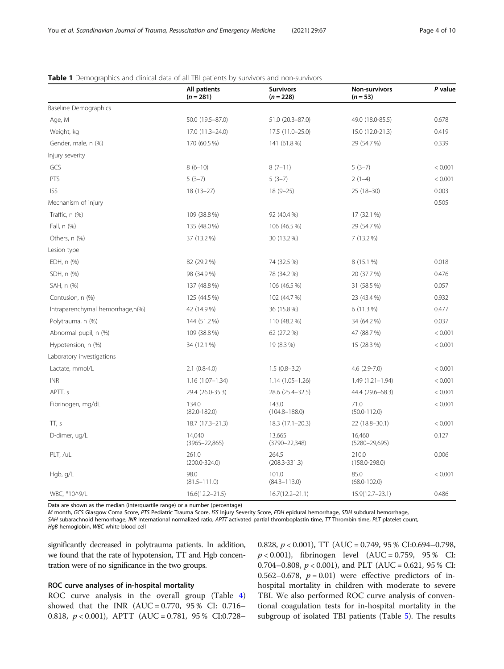|                                  | All patients<br>$(n = 281)$ | Survivors<br>$(n = 228)$     | <b>Non-survivors</b><br>$(n=53)$ | P value |
|----------------------------------|-----------------------------|------------------------------|----------------------------------|---------|
| Baseline Demographics            |                             |                              |                                  |         |
| Age, M                           | 50.0 (19.5-87.0)            | 51.0 (20.3-87.0)             | 49.0 (18.0-85.5)                 | 0.678   |
| Weight, kg                       | 17.0 (11.3-24.0)            | 17.5 (11.0-25.0)             | 15.0 (12.0-21.3)                 | 0.419   |
| Gender, male, n (%)              | 170 (60.5 %)                | 141 (61.8%)                  | 29 (54.7 %)                      | 0.339   |
| Injury severity                  |                             |                              |                                  |         |
| GCS                              | $8(6-10)$                   | $8(7-11)$                    | $5(3-7)$                         | < 0.001 |
| PTS                              | $5(3-7)$                    | $5(3-7)$                     | $2(1-4)$                         | < 0.001 |
| <b>ISS</b>                       | $18(13-27)$                 | $18(9-25)$                   | $25(18-30)$                      | 0.003   |
| Mechanism of injury              |                             |                              |                                  | 0.505   |
| Traffic, n (%)                   | 109 (38.8 %)                | 92 (40.4 %)                  | 17 (32.1 %)                      |         |
| Fall, n (%)                      | 135 (48.0 %)                | 106 (46.5 %)                 | 29 (54.7 %)                      |         |
| Others, n (%)                    | 37 (13.2 %)                 | 30 (13.2 %)                  | 7 (13.2 %)                       |         |
| Lesion type                      |                             |                              |                                  |         |
| EDH, n (%)                       | 82 (29.2 %)                 | 74 (32.5 %)                  | 8 (15.1 %)                       | 0.018   |
| SDH, n (%)                       | 98 (34.9 %)                 | 78 (34.2 %)                  | 20 (37.7 %)                      | 0.476   |
| SAH, n (%)                       | 137 (48.8 %)                | 106 (46.5 %)                 | 31 (58.5 %)                      | 0.057   |
| Contusion, n (%)                 | 125 (44.5 %)                | 102 (44.7 %)                 | 23 (43.4 %)                      | 0.932   |
| Intraparenchymal hemorrhage,n(%) | 42 (14.9 %)                 | 36 (15.8 %)                  | 6 (11.3 %)                       | 0.477   |
| Polytrauma, n (%)                | 144 (51.2 %)                | 110 (48.2 %)                 | 34 (64.2 %)                      | 0.037   |
| Abnormal pupil, n (%)            | 109 (38.8 %)                | 62 (27.2 %)                  | 47 (88.7 %)                      | < 0.001 |
| Hypotension, n (%)               | 34 (12.1 %)                 | 19 (8.3 %)                   | 15 (28.3 %)                      | < 0.001 |
| Laboratory investigations        |                             |                              |                                  |         |
| Lactate, mmol/L                  | $2.1$ (0.8-4.0)             | $1.5(0.8-3.2)$               | 4.6 (2.9-7.0)                    | < 0.001 |
| <b>INR</b>                       | $1.16(1.07-1.34)$           | $1.14(1.05 - 1.26)$          | $1.49(1.21 - 1.94)$              | < 0.001 |
| APTT, s                          | 29.4 (26.0-35.3)            | 28.6 (25.4-32.5)             | 44.4 (29.6-68.3)                 | < 0.001 |
| Fibrinogen, mg/dL                | 134.0<br>$(82.0 - 182.0)$   | 143.0<br>$(104.8 - 188.0)$   | 71.0<br>$(50.0 - 112.0)$         | < 0.001 |
| $\Pi$ , s                        | 18.7 (17.3-21.3)            | 18.3 (17.1-20.3)             | 22 (18.8-30.1)                   | < 0.001 |
| D-dimer, ug/L                    | 14,040<br>$(3965 - 22,865)$ | 13,665<br>$(3790 - 22, 348)$ | 16,460<br>$(5280 - 29,695)$      | 0.127   |
| PLT, /uL                         | 261.0<br>$(200.0 - 324.0)$  | 264.5<br>$(208.3 - 331.3)$   | 210.0<br>$(158.0 - 298.0)$       | 0.006   |
| Hgb, g/L                         | 98.0<br>$(81.5 - 111.0)$    | 101.0<br>$(84.3 - 113.0)$    | 85.0<br>$(68.0 - 102.0)$         | < 0.001 |
| WBC, *10^9/L                     | $16.6(12.2 - 21.5)$         | $16.7(12.2 - 21.1)$          | $15.9(12.7 - 23.1)$              | 0.486   |

## <span id="page-3-0"></span>**Table 1** Demographics and clinical data of all TBI patients by survivors and non-survivors

Data are shown as the median (interquartile range) or a number (percentage)

M month, GCS Glasgow Coma Score, PTS Pediatric Trauma Score, ISS Injury Severity Score, EDH epidural hemorrhage, SDH subdural hemorrhage,

SAH subarachnoid hemorrhage, INR International normalized ratio, APTT activated partial thromboplastin time, TT Thrombin time, PLT platelet count, HgB hemoglobin, WBC white blood cell

significantly decreased in polytrauma patients. In addition, we found that the rate of hypotension, TT and Hgb concentration were of no significance in the two groups.

#### ROC curve analyses of in-hospital mortality

ROC curve analysis in the overall group (Table [4](#page-5-0)) showed that the INR  $(AUC = 0.770, 95\% CI: 0.716-$ 0.818,  $p < 0.001$ ), APTT (AUC = 0.781, 95 % CI:0.728– 0.828, p < 0.001), TT (AUC = 0.749, 95 % CI:0.694–0.798,  $p < 0.001$ ), fibrinogen level (AUC = 0.759, 95 % CI: 0.704–0.808,  $p < 0.001$ ), and PLT (AUC = 0.621, 95 % CI: 0.562–0.678,  $p = 0.01$ ) were effective predictors of inhospital mortality in children with moderate to severe TBI. We also performed ROC curve analysis of conventional coagulation tests for in-hospital mortality in the subgroup of isolated TBI patients (Table [5\)](#page-5-0). The results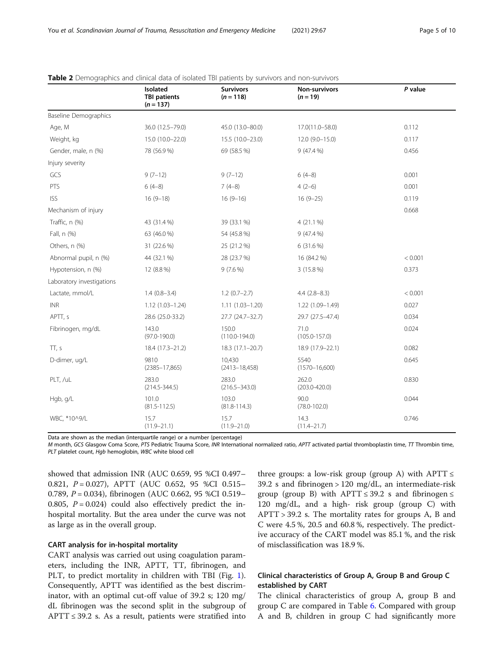| Page 5 of 10 |  |
|--------------|--|
|--------------|--|

|                              | Isolated<br><b>TBI patients</b><br>$(n = 137)$ | <b>Survivors</b><br>$(n = 118)$ | Non-survivors<br>$(n = 19)$ | P value |
|------------------------------|------------------------------------------------|---------------------------------|-----------------------------|---------|
| <b>Baseline Demographics</b> |                                                |                                 |                             |         |
| Age, M                       | 36.0 (12.5-79.0)                               | 45.0 (13.0-80.0)                | 17.0(11.0-58.0)             | 0.112   |
| Weight, kg                   | 15.0 (10.0-22.0)                               | 15.5 (10.0-23.0)                | $12.0(9.0-15.0)$            | 0.117   |
| Gender, male, n (%)          | 78 (56.9 %)                                    | 69 (58.5 %)                     | 9(47.4%                     | 0.456   |
| Injury severity              |                                                |                                 |                             |         |
| GCS                          | $9(7-12)$                                      | $9(7-12)$                       | $6(4-8)$                    | 0.001   |
| PTS                          | $6(4-8)$                                       | $7(4-8)$                        | $4(2-6)$                    | 0.001   |
| <b>ISS</b>                   | $16(9-18)$                                     | $16(9-16)$                      | $16(9-25)$                  | 0.119   |
| Mechanism of injury          |                                                |                                 |                             | 0.668   |
| Traffic, n (%)               | 43 (31.4 %)                                    | 39 (33.1 %)                     | 4(21.1%                     |         |
| Fall, n (%)                  | 63 (46.0 %)                                    | 54 (45.8%)                      | $9(47.4\%)$                 |         |
| Others, n (%)                | 31 (22.6 %)                                    | 25 (21.2 %)                     | 6 (31.6 %)                  |         |
| Abnormal pupil, n (%)        | 44 (32.1 %)                                    | 28 (23.7 %)                     | 16 (84.2 %)                 | < 0.001 |
| Hypotension, n (%)           | 12 (8.8 %)                                     | $9(7.6\%)$                      | 3 (15.8 %)                  | 0.373   |
| Laboratory investigations    |                                                |                                 |                             |         |
| Lactate, mmol/L              | $1.4(0.8-3.4)$                                 | $1.2(0.7-2.7)$                  | $4.4(2.8-8.3)$              | < 0.001 |
| $\ensuremath{\mathsf{INR}}$  | $1.12(1.03 - 1.24)$                            | $1.11(1.03 - 1.20)$             | 1.22 (1.09-1.49)            | 0.027   |
| APTT, s                      | 28.6 (25.0-33.2)                               | 27.7 (24.7-32.7)                | 29.7 (27.5-47.4)            | 0.034   |
| Fibrinogen, mg/dL            | 143.0<br>$(97.0 - 190.0)$                      | 150.0<br>$(110.0 - 194.0)$      | 71.0<br>$(105.0 - 157.0)$   | 0.024   |
| TT, s                        | 18.4 (17.3-21.2)                               | 18.3 (17.1-20.7)                | 18.9 (17.9-22.1)            | 0.082   |
| D-dimer, ug/L                | 9810<br>$(2385 - 17, 865)$                     | 10,430<br>$(2413 - 18,458)$     | 5540<br>$(1570 - 16,600)$   | 0.645   |
| PLT, /uL                     | 283.0<br>$(214.5 - 344.5)$                     | 283.0<br>$(216.5 - 343.0)$      | 262.0<br>$(203.0 - 420.0)$  | 0.830   |
| Hgb, g/L                     | 101.0<br>$(81.5 - 112.5)$                      | 103.0<br>$(81.8 - 114.3)$       | 90.0<br>$(78.0 - 102.0)$    | 0.044   |
| WBC, *10^9/L                 | 15.7<br>$(11.9 - 21.1)$                        | 15.7<br>$(11.9 - 21.0)$         | 14.3<br>$(11.4 - 21.7)$     | 0.746   |

#### <span id="page-4-0"></span>Table 2 Demographics and clinical data of isolated TBI patients by survivors and non-survivors

Data are shown as the median (interquartile range) or a number (percentage)

M month, GCS Glasgow Coma Score, PTS Pediatric Trauma Score, INR International normalized ratio, APTT activated partial thromboplastin time, TT Thrombin time, PLT platelet count, Hgb hemoglobin, WBC white blood cell

showed that admission INR (AUC 0.659, 95 %CI 0.497– 0.821, P = 0.027), APTT (AUC 0.652, 95 %CI 0.515-0.789, P = 0.034), fibrinogen (AUC 0.662, 95 %CI 0.519– 0.805,  $P = 0.024$ ) could also effectively predict the inhospital mortality. But the area under the curve was not as large as in the overall group.

#### CART analysis for in-hospital mortality

CART analysis was carried out using coagulation parameters, including the INR, APTT, TT, fibrinogen, and PLT, to predict mortality in children with TBI (Fig. [1](#page-7-0)). Consequently, APTT was identified as the best discriminator, with an optimal cut-off value of 39.2 s; 120 mg/ dL fibrinogen was the second split in the subgroup of APTT  $\leq$  39.2 s. As a result, patients were stratified into

three groups: a low-risk group (group A) with  $APTT \leq$ 39.2 s and fibrinogen > 120 mg/dL, an intermediate-risk group (group B) with APTT  $\leq$  39.2 s and fibrinogen  $\leq$ 120 mg/dL, and a high- risk group (group C) with APTT > 39.2 s. The mortality rates for groups A, B and C were 4.5 %, 20.5 and 60.8 %, respectively. The predictive accuracy of the CART model was 85.1 %, and the risk of misclassification was 18.9 %.

# Clinical characteristics of Group A, Group B and Group C established by CART

The clinical characteristics of group A, group B and group C are compared in Table [6.](#page-6-0) Compared with group A and B, children in group C had significantly more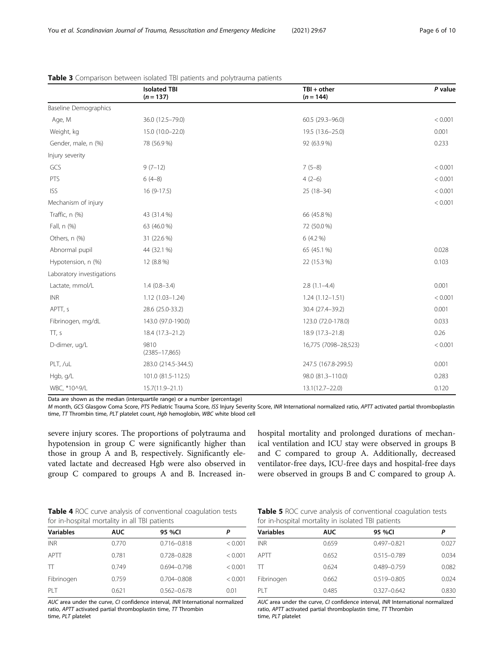|                              | <b>Isolated TBI</b><br>$(n = 137)$ | $TBI + other$<br>$(n = 144)$ | P value |
|------------------------------|------------------------------------|------------------------------|---------|
| <b>Baseline Demographics</b> |                                    |                              |         |
| Age, M                       | 36.0 (12.5-79.0)                   | 60.5 (29.3-96.0)             | < 0.001 |
| Weight, kg                   | 15.0 (10.0-22.0)                   | 19.5 (13.6-25.0)             | 0.001   |
| Gender, male, n (%)          | 78 (56.9 %)                        | 92 (63.9%)                   | 0.233   |
| Injury severity              |                                    |                              |         |
| GCS                          | $9(7-12)$                          | $7(5-8)$                     | < 0.001 |
| PTS                          | $6(4-8)$                           | $4(2-6)$                     | < 0.001 |
| <b>ISS</b>                   | $16(9-17.5)$                       | $25(18-34)$                  | < 0.001 |
| Mechanism of injury          |                                    |                              | < 0.001 |
| Traffic, n (%)               | 43 (31.4 %)                        | 66 (45.8%)                   |         |
| Fall, n (%)                  | 63 (46.0 %)                        | 72 (50.0 %)                  |         |
| Others, n (%)                | 31 (22.6 %)                        | 6 (4.2 %)                    |         |
| Abnormal pupil               | 44 (32.1 %)                        | 65 (45.1 %)                  | 0.028   |
| Hypotension, n (%)           | 12 (8.8 %)                         | 22 (15.3 %)                  | 0.103   |
| Laboratory investigations    |                                    |                              |         |
| Lactate, mmol/L              | $1.4(0.8-3.4)$                     | $2.8(1.1-4.4)$               | 0.001   |
| <b>INR</b>                   | $1.12(1.03 - 1.24)$                | $1.24(1.12 - 1.51)$          | < 0.001 |
| APTT, s                      | 28.6 (25.0-33.2)                   | 30.4 (27.4-39.2)             | 0.001   |
| Fibrinogen, mg/dL            | 143.0 (97.0-190.0)                 | 123.0 (72.0-178.0)           | 0.033   |
| TT, s                        | 18.4 (17.3-21.2)                   | 18.9 (17.3-21.8)             | 0.26    |
| D-dimer, ug/L                | 9810<br>$(2385 - 17, 865)$         | 16,775 (7098-28,523)         | < 0.001 |
| PLT, /uL                     | 283.0 (214.5-344.5)                | 247.5 (167.8-299.5)          | 0.001   |
| Hgb, g/L                     | 101.0 (81.5-112.5)                 | 98.0 (81.3-110.0)            | 0.283   |
| WBC, *10^9/L                 | $15.7(11.9 - 21.1)$                | $13.1(12.7 - 22.0)$          | 0.120   |

<span id="page-5-0"></span>

|  | <b>Table 3</b> Comparison between isolated TBI patients and polytrauma patients |  |  |  |  |
|--|---------------------------------------------------------------------------------|--|--|--|--|
|--|---------------------------------------------------------------------------------|--|--|--|--|

Data are shown as the median (interquartile range) or a number (percentage)

M month, GCS Glasgow Coma Score, PTS Pediatric Trauma Score, ISS Injury Severity Score, INR International normalized ratio, APTT activated partial thromboplastin time,  $TT$  Thrombin time,  $PLT$  platelet count,  $Hgb$  hemoglobin, WBC white blood cell

severe injury scores. The proportions of polytrauma and hypotension in group C were significantly higher than those in group A and B, respectively. Significantly elevated lactate and decreased Hgb were also observed in group C compared to groups A and B. Increased inhospital mortality and prolonged durations of mechanical ventilation and ICU stay were observed in groups B and C compared to group A. Additionally, decreased ventilator-free days, ICU-free days and hospital-free days were observed in groups B and C compared to group A.

Table 4 ROC curve analysis of conventional coagulation tests for in-hospital mortality in all TBI patients

| <b>Variables</b> | <b>AUC</b> | 95 %CI          | Ρ       |
|------------------|------------|-----------------|---------|
| <b>INR</b>       | 0.770      | $0.716 - 0.818$ | < 0.001 |
| APTT             | 0.781      | 0.728-0.828     | < 0.001 |
| π                | 0.749      | $0.694 - 0.798$ | < 0.001 |
| Fibrinogen       | 0.759      | $0.704 - 0.808$ | < 0.001 |
| PI T             | 0.621      | $0.562 - 0.678$ | 0.01    |

AUC area under the curve, CI confidence interval, INR International normalized ratio, APTT activated partial thromboplastin time,  $T$ Thrombin time, PLT platelet

|  |                                                    |  | Table 5 ROC curve analysis of conventional coagulation tests |  |
|--|----------------------------------------------------|--|--------------------------------------------------------------|--|
|  | for in-hospital mortality in isolated TBI patients |  |                                                              |  |

| <b>Variables</b> | <b>AUC</b> | 95 %CI          | Ρ     |
|------------------|------------|-----------------|-------|
| <b>INR</b>       | 0.659      | $0.497 - 0.821$ | 0.027 |
| APTT             | 0.652      | $0.515 - 0.789$ | 0.034 |
| $\top$           | 0.624      | $0.489 - 0.759$ | 0.082 |
| Fibrinogen       | 0.662      | 0.519-0.805     | 0.024 |
| PI T             | 0.485      | $0.327 - 0.642$ | 0.830 |

AUC area under the curve, CI confidence interval, INR International normalized ratio,  $APTT$  activated partial thromboplastin time,  $TT$  Thrombin time, PLT platelet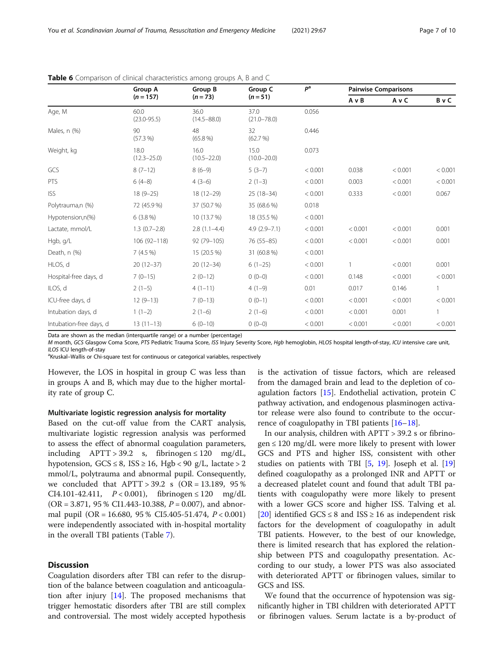|                         | Group A                 | Group B                 | Group C                 | P <sup>a</sup> |         | <b>Pairwise Comparisons</b> |         |
|-------------------------|-------------------------|-------------------------|-------------------------|----------------|---------|-----------------------------|---------|
|                         | $(n = 157)$             | $(n=73)$                | $(n = 51)$              |                | AvB     | AvC                         | BvC     |
| Age, M                  | 60.0<br>$(23.0 - 95.5)$ | 36.0<br>$(14.5 - 88.0)$ | 37.0<br>$(21.0 - 78.0)$ | 0.056          |         |                             |         |
| Males, n (%)            | 90<br>$(57.3\%)$        | 48<br>$(65.8\%)$        | 32<br>(62.7%)           | 0.446          |         |                             |         |
| Weight, kg              | 18.0<br>$(12.3 - 25.0)$ | 16.0<br>$(10.5 - 22.0)$ | 15.0<br>$(10.0 - 20.0)$ | 0.073          |         |                             |         |
| GCS                     | $8(7-12)$               | $8(6-9)$                | $5(3-7)$                | < 0.001        | 0.038   | < 0.001                     | < 0.001 |
| PTS                     | $6(4-8)$                | $4(3-6)$                | $2(1-3)$                | < 0.001        | 0.003   | < 0.001                     | < 0.001 |
| <b>ISS</b>              | $18(9 - 25)$            | $18(12 - 29)$           | $25(18-34)$             | < 0.001        | 0.333   | < 0.001                     | 0.067   |
| Polytrauma,n (%)        | 72 (45.9%)              | 37 (50.7 %)             | 35 (68.6 %)             | 0.018          |         |                             |         |
| Hypotension,n(%)        | $6(3.8\%)$              | 10 (13.7 %)             | 18 (35.5 %)             | < 0.001        |         |                             |         |
| Lactate, mmol/L         | $1.3(0.7-2.8)$          | $2.8(1.1-4.4)$          | $4.9(2.9 - 7.1)$        | < 0.001        | < 0.001 | < 0.001                     | 0.001   |
| Hgb, g/L                | 106 (92-118)            | 92 (79-105)             | 76 (55-85)              | < 0.001        | < 0.001 | < 0.001                     | 0.001   |
| Death, n (%)            | 7(4.5%)                 | 15 (20.5 %)             | 31 (60.8 %)             | < 0.001        |         |                             |         |
| HLOS, d                 | $20(12-37)$             | $20(12-34)$             | $6(1-25)$               | < 0.001        |         | < 0.001                     | 0.001   |
| Hospital-free days, d   | $7(0-15)$               | $2(0-12)$               | $0(0-0)$                | < 0.001        | 0.148   | < 0.001                     | < 0.001 |
| ILOS, d                 | $2(1-5)$                | $4(1-11)$               | $4(1-9)$                | 0.01           | 0.017   | 0.146                       | 1       |
| ICU-free days, d        | $12(9-13)$              | $7(0-13)$               | $0(0-1)$                | < 0.001        | < 0.001 | < 0.001                     | < 0.001 |
| Intubation days, d      | $1(1-2)$                | $2(1-6)$                | $2(1-6)$                | < 0.001        | < 0.001 | 0.001                       | 1       |
| Intubation-free days, d | $13(11-13)$             | $6(0-10)$               | $0(0-0)$                | < 0.001        | < 0.001 | < 0.001                     | < 0.001 |

<span id="page-6-0"></span>Table 6 Comparison of clinical characteristics among groups A, B and C

Data are shown as the median (interquartile range) or a number (percentage)

M month, GCS Glasgow Coma Score, PTS Pediatric Trauma Score, ISS Injury Severity Score, Hgb hemoglobin, HLOS hospital length-of-stay, ICU intensive care unit, ILOS ICU length-of-stay

<sup>a</sup>Kruskal–Wallis or Chi-square test for continuous or categorical variables, respectively

However, the LOS in hospital in group C was less than in groups A and B, which may due to the higher mortality rate of group C.

#### Multivariate logistic regression analysis for mortality

Based on the cut-off value from the CART analysis, multivariate logistic regression analysis was performed to assess the effect of abnormal coagulation parameters, including  $APTT > 39.2$  s, fibrinogen  $\leq 120$  mg/dL, hypotension,  $GCS \leq 8$ ,  $ISS \geq 16$ ,  $Hgb < 90$  g/L, lactate  $> 2$ mmol/L, polytrauma and abnormal pupil. Consequently, we concluded that  $APTT > 39.2$  s (OR = 13.189, 95 %) CI4.101-42.411, P < 0.001), fibrinogen ≤ 120 mg/dL (OR = 3.871, 95 % CI1.443-10.388,  $P = 0.007$ ), and abnormal pupil  $(OR = 16.680, 95\% \text{ CI}5.405-51.474, P < 0.001)$ were independently associated with in-hospital mortality in the overall TBI patients (Table [7](#page-7-0)).

#### **Discussion**

Coagulation disorders after TBI can refer to the disruption of the balance between coagulation and anticoagulation after injury [\[14\]](#page-9-0). The proposed mechanisms that trigger hemostatic disorders after TBI are still complex and controversial. The most widely accepted hypothesis

is the activation of tissue factors, which are released from the damaged brain and lead to the depletion of coagulation factors [[15\]](#page-9-0). Endothelial activation, protein C pathway activation, and endogenous plasminogen activator release were also found to contribute to the occurrence of coagulopathy in TBI patients  $[16–18]$  $[16–18]$  $[16–18]$  $[16–18]$  $[16–18]$ .

In our analysis, children with APTT > 39.2 s or fibrino $gen \leq 120$  mg/dL were more likely to present with lower GCS and PTS and higher ISS, consistent with other studies on patients with TBI [\[5](#page-9-0), [19\]](#page-9-0). Joseph et al. [[19](#page-9-0)] defined coagulopathy as a prolonged INR and APTT or a decreased platelet count and found that adult TBI patients with coagulopathy were more likely to present with a lower GCS score and higher ISS. Talving et al. [[20\]](#page-9-0) identified GCS  $\leq$  8 and ISS  $\geq$  16 as independent risk factors for the development of coagulopathy in adult TBI patients. However, to the best of our knowledge, there is limited research that has explored the relationship between PTS and coagulopathy presentation. According to our study, a lower PTS was also associated with deteriorated APTT or fibrinogen values, similar to GCS and ISS.

We found that the occurrence of hypotension was significantly higher in TBI children with deteriorated APTT or fibrinogen values. Serum lactate is a by-product of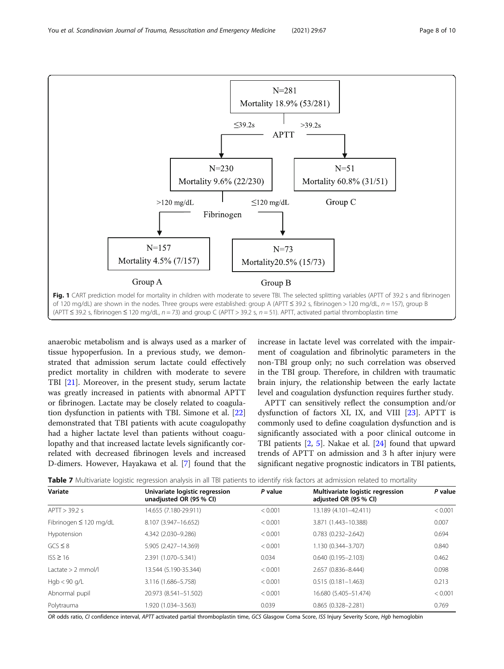<span id="page-7-0"></span>You et al. Scandinavian Journal of Trauma, Resuscitation and Emergency Medicine (2021) 29:67 Page 8 of 10



anaerobic metabolism and is always used as a marker of tissue hypoperfusion. In a previous study, we demonstrated that admission serum lactate could effectively predict mortality in children with moderate to severe TBI [\[21](#page-9-0)]. Moreover, in the present study, serum lactate was greatly increased in patients with abnormal APTT or fibrinogen. Lactate may be closely related to coagulation dysfunction in patients with TBI. Simone et al. [[22](#page-9-0)] demonstrated that TBI patients with acute coagulopathy had a higher lactate level than patients without coagulopathy and that increased lactate levels significantly correlated with decreased fibrinogen levels and increased D-dimers. However, Hayakawa et al. [\[7](#page-9-0)] found that the increase in lactate level was correlated with the impairment of coagulation and fibrinolytic parameters in the non-TBI group only; no such correlation was observed in the TBI group. Therefore, in children with traumatic brain injury, the relationship between the early lactate level and coagulation dysfunction requires further study.

APTT can sensitively reflect the consumption and/or dysfunction of factors XI, IX, and VIII [[23](#page-9-0)]. APTT is commonly used to define coagulation dysfunction and is significantly associated with a poor clinical outcome in TBI patients [[2,](#page-9-0) [5\]](#page-9-0). Nakae et al. [[24\]](#page-9-0) found that upward trends of APTT on admission and 3 h after injury were significant negative prognostic indicators in TBI patients,

| <b>Table 7</b> Multivariate logistic regression analysis in all TBI patients to identify risk factors at admission related to mortality |  |  |  |  |  |
|-----------------------------------------------------------------------------------------------------------------------------------------|--|--|--|--|--|
|                                                                                                                                         |  |  |  |  |  |

| Variate                     | Univariate logistic regression<br>unadjusted OR (95 % CI) | P value | Multivariate logistic regression<br>adjusted OR (95 % CI) | P value |  |
|-----------------------------|-----------------------------------------------------------|---------|-----------------------------------------------------------|---------|--|
| APTT > 39.2 s               | 14.655 (7.180-29.911)                                     | < 0.001 | 13.189 (4.101-42.411)                                     | < 0.001 |  |
| Fibrinogen $\leq 120$ mg/dL | 8.107 (3.947-16.652)                                      | < 0.001 | 3.871 (1.443-10.388)                                      | 0.007   |  |
| Hypotension                 | 4.342 (2.030-9.286)                                       | < 0.001 | $0.783$ $(0.232 - 2.642)$                                 | 0.694   |  |
| $GCS \leq 8$                | 5.905 (2.427-14.369)                                      | < 0.001 | 1.130 (0.344-3.707)                                       | 0.840   |  |
| $ISS \geq 16$               | 2.391 (1.070-5.341)                                       | 0.034   | $0.640(0.195 - 2.103)$                                    | 0.462   |  |
| Lactate $> 2$ mmol/l        | 13.544 (5.190-35.344)                                     | < 0.001 | 2.657 (0.836-8.444)                                       | 0.098   |  |
| Hqb < 90 q/L                | 3.116 (1.686-5.758)                                       | < 0.001 | $0.515(0.181 - 1.463)$                                    | 0.213   |  |
| Abnormal pupil              | 20.973 (8.541-51.502)                                     | < 0.001 | 16.680 (5.405-51.474)                                     | < 0.001 |  |
| Polytrauma                  | 1.920 (1.034-3.563)                                       | 0.039   | $0.865(0.328 - 2.281)$                                    | 0.769   |  |

OR odds ratio, CI confidence interval, APTT activated partial thromboplastin time, GCS Glasgow Coma Score, ISS Injury Severity Score, Hgb hemoglobin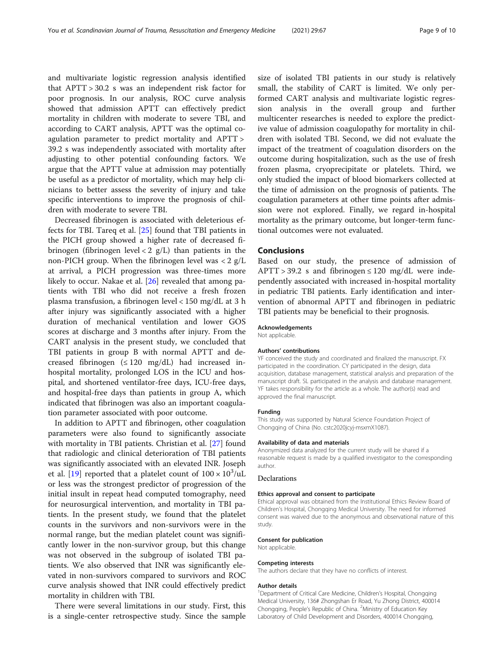and multivariate logistic regression analysis identified that APTT > 30.2 s was an independent risk factor for poor prognosis. In our analysis, ROC curve analysis showed that admission APTT can effectively predict mortality in children with moderate to severe TBI, and according to CART analysis, APTT was the optimal coagulation parameter to predict mortality and APTT > 39.2 s was independently associated with mortality after adjusting to other potential confounding factors. We argue that the APTT value at admission may potentially be useful as a predictor of mortality, which may help clinicians to better assess the severity of injury and take specific interventions to improve the prognosis of children with moderate to severe TBI.

Decreased fibrinogen is associated with deleterious effects for TBI. Tareq et al. [[25\]](#page-9-0) found that TBI patients in the PICH group showed a higher rate of decreased fibrinogen (fibrinogen level  $< 2$  g/L) than patients in the non-PICH group. When the fibrinogen level was  $\langle 2 \text{ g/L} \rangle$ at arrival, a PICH progression was three-times more likely to occur. Nakae et al. [[26\]](#page-9-0) revealed that among patients with TBI who did not receive a fresh frozen plasma transfusion, a fibrinogen level < 150 mg/dL at 3 h after injury was significantly associated with a higher duration of mechanical ventilation and lower GOS scores at discharge and 3 months after injury. From the CART analysis in the present study, we concluded that TBI patients in group B with normal APTT and decreased fibrinogen  $(\leq 120 \text{ mg/dL})$  had increased inhospital mortality, prolonged LOS in the ICU and hospital, and shortened ventilator-free days, ICU-free days, and hospital-free days than patients in group A, which indicated that fibrinogen was also an important coagulation parameter associated with poor outcome.

In addition to APTT and fibrinogen, other coagulation parameters were also found to significantly associate with mortality in TBI patients. Christian et al. [[27\]](#page-9-0) found that radiologic and clinical deterioration of TBI patients was significantly associated with an elevated INR. Joseph et al. [[19](#page-9-0)] reported that a platelet count of  $100 \times 10^3$ /uL or less was the strongest predictor of progression of the initial insult in repeat head computed tomography, need for neurosurgical intervention, and mortality in TBI patients. In the present study, we found that the platelet counts in the survivors and non-survivors were in the normal range, but the median platelet count was significantly lower in the non-survivor group, but this change was not observed in the subgroup of isolated TBI patients. We also observed that INR was significantly elevated in non-survivors compared to survivors and ROC curve analysis showed that INR could effectively predict mortality in children with TBI.

There were several limitations in our study. First, this is a single-center retrospective study. Since the sample size of isolated TBI patients in our study is relatively small, the stability of CART is limited. We only performed CART analysis and multivariate logistic regression analysis in the overall group and further multicenter researches is needed to explore the predictive value of admission coagulopathy for mortality in children with isolated TBI. Second, we did not evaluate the impact of the treatment of coagulation disorders on the outcome during hospitalization, such as the use of fresh frozen plasma, cryoprecipitate or platelets. Third, we only studied the impact of blood biomarkers collected at the time of admission on the prognosis of patients. The coagulation parameters at other time points after admission were not explored. Finally, we regard in-hospital mortality as the primary outcome, but longer-term functional outcomes were not evaluated.

#### Conclusions

Based on our study, the presence of admission of  $APTT > 39.2$  s and fibrinogen  $\leq 120$  mg/dL were independently associated with increased in-hospital mortality in pediatric TBI patients. Early identification and intervention of abnormal APTT and fibrinogen in pediatric TBI patients may be beneficial to their prognosis.

#### Acknowledgements

Not applicable.

#### Authors' contributions

YF conceived the study and coordinated and finalized the manuscript. FX participated in the coordination. CY participated in the design, data acquisition, database management, statistical analysis and preparation of the manuscript draft. SL participated in the analysis and database management. YF takes responsibility for the article as a whole. The author(s) read and approved the final manuscript.

#### Funding

This study was supported by Natural Science Foundation Project of Chongqing of China (No. cstc2020jcyj-msxmX1087).

#### Availability of data and materials

Anonymized data analyzed for the current study will be shared if a reasonable request is made by a qualified investigator to the corresponding author.

#### Declarations

#### Ethics approval and consent to participate

Ethical approval was obtained from the Institutional Ethics Review Board of Children's Hospital, Chongqing Medical University. The need for informed consent was waived due to the anonymous and observational nature of this study.

#### Consent for publication

Not applicable.

#### Competing interests

The authors declare that they have no conflicts of interest.

#### Author details

<sup>1</sup>Department of Critical Care Medicine, Children's Hospital, Chongqing Medical University, 136# Zhongshan Er Road, Yu Zhong District, 400014 Chongqing, People's Republic of China. <sup>2</sup> Ministry of Education Key Laboratory of Child Development and Disorders, 400014 Chongqing,